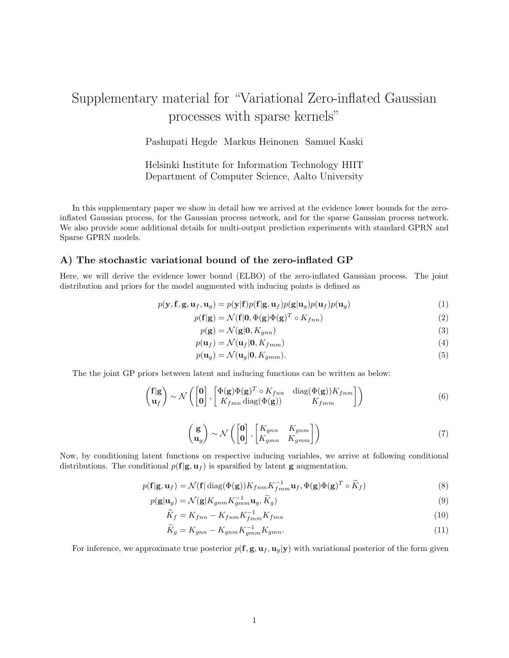# Supplementary material for "Variational Zero-inflated Gaussian processes with sparse kernels"

Pashupati Hegde Markus Heinonen Samuel Kaski

Helsinki Institute for Information Technology HIIT Department of Computer Science, Aalto University

In this supplementary paper we show in detail how we arrived at the evidence lower bounds for the zeroinflated Gaussian process, for the Gaussian process network, and for the sparse Gaussian process network. We also provide some additional details for multi-output prediction experiments with standard GPRN and Sparse GPRN models.

#### A) The stochastic variational bound of the zero-inflated GP

Here, we will derive the evidence lower bound (ELBO) of the zero-inflated Gaussian process. The joint distribution and priors for the model augmented with inducing points is defined as

$$
p(\mathbf{y}, \mathbf{f}, \mathbf{g}, \mathbf{u}_f, \mathbf{u}_g) = p(\mathbf{y}|\mathbf{f})p(\mathbf{f}|\mathbf{g}, \mathbf{u}_f)p(\mathbf{g}|\mathbf{u}_g)p(\mathbf{u}_f)p(\mathbf{u}_g)
$$
(1)

$$
p(\mathbf{f}|\mathbf{g}) = \mathcal{N}(\mathbf{f}|\mathbf{0}, \Phi(\mathbf{g})\Phi(\mathbf{g})^T \circ K_{fnn})
$$
\n(2)

$$
p(\mathbf{g}) = \mathcal{N}(\mathbf{g}|\mathbf{0}, K_{gnn})
$$
\n(3)

$$
p(\mathbf{u}_f) = \mathcal{N}(\mathbf{u}_f | \mathbf{0}, K_{fmm})
$$
\n(4)

$$
p(\mathbf{u}_g) = \mathcal{N}(\mathbf{u}_g | \mathbf{0}, K_{gmm}).
$$
\n<sup>(5)</sup>

The the joint GP priors between latent and inducing functions can be written as below:

$$
\begin{pmatrix} f|g \\ u_f \end{pmatrix} \sim \mathcal{N} \left( \begin{bmatrix} 0 \\ 0 \end{bmatrix}, \begin{bmatrix} \Phi(g)\Phi(g)^T \circ K_{fnn} & \text{diag}(\Phi(g))K_{fnm} \\ K_{fmn} & K_{fnm} \end{bmatrix} \right) \tag{6}
$$

$$
\begin{pmatrix} \mathbf{g} \\ \mathbf{u}_g \end{pmatrix} \sim \mathcal{N} \left( \begin{bmatrix} \mathbf{0} \\ \mathbf{0} \end{bmatrix}, \begin{bmatrix} K_{gnn} & K_{gnm} \\ K_{gmn} & K_{gmm} \end{bmatrix} \right) \tag{7}
$$

Now, by conditioning latent functions on respective inducing variables, we arrive at following conditional distributions. The conditional  $p(f|g, u_f)$  is sparsified by latent g augmentation.

$$
p(\mathbf{f}|\mathbf{g}, \mathbf{u}_f) = \mathcal{N}(\mathbf{f}|\operatorname{diag}(\Phi(\mathbf{g}))K_{fnm}K_{fnm}^{-1}\mathbf{u}_f, \Phi(\mathbf{g})\Phi(\mathbf{g})^T \circ \widetilde{K}_f)
$$
(8)

$$
p(\mathbf{g}|\mathbf{u}_g) = \mathcal{N}(\mathbf{g}|K_{gnm}K_{gmm}^{-1}\mathbf{u}_g, \widetilde{K}_g)
$$
\n(9)

$$
\widetilde{K}_f = K_{fnn} - K_{fnm} K_{fmn}^{-1} K_{fmn} \tag{10}
$$

$$
\widetilde{K}_g = K_{gnn} - K_{gnm} K_{gmm}^{-1} K_{gmn}.
$$
\n(11)

For inference, we approximate true posterior  $p(\mathbf{f}, \mathbf{g}, \mathbf{u}_f, \mathbf{u}_g | \mathbf{y})$  with variational posterior of the form given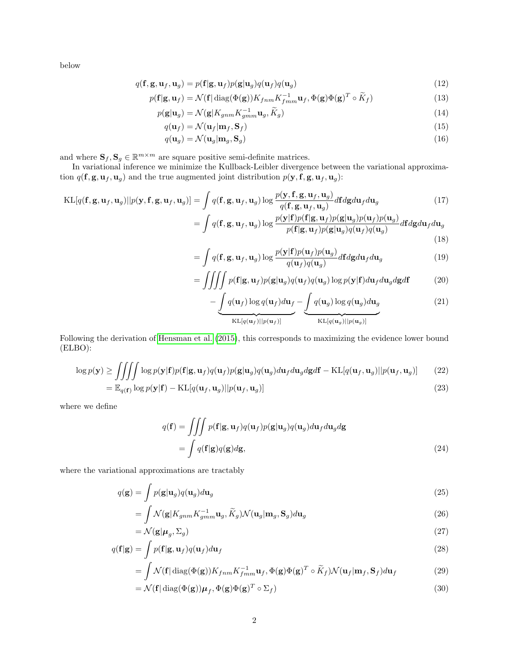below

$$
q(\mathbf{f}, \mathbf{g}, \mathbf{u}_f, \mathbf{u}_g) = p(\mathbf{f}|\mathbf{g}, \mathbf{u}_f) p(\mathbf{g}|\mathbf{u}_g) q(\mathbf{u}_f) q(\mathbf{u}_g)
$$
\n(12)

$$
p(\mathbf{f}|\mathbf{g}, \mathbf{u}_f) = \mathcal{N}(\mathbf{f}|\operatorname{diag}(\Phi(\mathbf{g}))K_{fnm}K_{fmm}^{-1}\mathbf{u}_f, \Phi(\mathbf{g})\Phi(\mathbf{g})^T \circ \widetilde{K}_f)
$$
(13)

$$
p(\mathbf{g}|\mathbf{u}_g) = \mathcal{N}(\mathbf{g}|K_{gnm}K_{gmm}^{-1}\mathbf{u}_g, \widetilde{K}_g)
$$
\n(14)

$$
q(\mathbf{u}_f) = \mathcal{N}(\mathbf{u}_f | \mathbf{m}_f, \mathbf{S}_f) \tag{15}
$$

$$
q(\mathbf{u}_g) = \mathcal{N}(\mathbf{u}_g | \mathbf{m}_g, \mathbf{S}_g) \tag{16}
$$

and where  $\mathbf{S}_f, \mathbf{S}_g \in \mathbb{R}^{m \times m}$  are square positive semi-definite matrices.

In variational inference we minimize the Kullback-Leibler divergence between the variational approximation  $q(\mathbf{f}, \mathbf{g}, \mathbf{u}_f, \mathbf{u}_g)$  and the true augmented joint distribution  $p(\mathbf{y}, \mathbf{f}, \mathbf{g}, \mathbf{u}_f, \mathbf{u}_g)$ :

$$
KL[q(\mathbf{f}, \mathbf{g}, \mathbf{u}_f, \mathbf{u}_g)||p(\mathbf{y}, \mathbf{f}, \mathbf{g}, \mathbf{u}_f, \mathbf{u}_g)] = \int q(\mathbf{f}, \mathbf{g}, \mathbf{u}_f, \mathbf{u}_g) \log \frac{p(\mathbf{y}, \mathbf{f}, \mathbf{g}, \mathbf{u}_f, \mathbf{u}_g)}{q(\mathbf{f}, \mathbf{g}, \mathbf{u}_f, \mathbf{u}_g)} d\mathbf{f} d\mathbf{g} d\mathbf{u}_f d\mathbf{u}_g
$$
(17)  
= 
$$
\int q(\mathbf{f}, \mathbf{g}, \mathbf{u}_f, \mathbf{u}_g) \log \frac{p(\mathbf{y}|\mathbf{f})p(\mathbf{f}|\mathbf{g}, \mathbf{u}_f)p(\mathbf{g}|\mathbf{u}_g)p(\mathbf{u}_f)p(\mathbf{u}_g)}{p(\mathbf{f}|\mathbf{g}, \mathbf{u}_f)p(\mathbf{g}|\mathbf{u}_g)q(\mathbf{u}_f)q(\mathbf{u}_g)}
$$
(18)

$$
= \int q(\mathbf{f}, \mathbf{g}, \mathbf{u}_f, \mathbf{u}_g) \log \frac{p(\mathbf{y}|\mathbf{f})p(\mathbf{u}_f)p(\mathbf{u}_g)}{q(\mathbf{u}_f)q(\mathbf{u}_g)} d\mathbf{f} d\mathbf{g} d\mathbf{u}_f d\mathbf{u}_g
$$
\n(19)

$$
= \iiint p(\mathbf{f}|\mathbf{g}, \mathbf{u}_f) p(\mathbf{g}|\mathbf{u}_g) q(\mathbf{u}_f) q(\mathbf{u}_g) \log p(\mathbf{y}|\mathbf{f}) d\mathbf{u}_f d\mathbf{u}_g d\mathbf{g} d\mathbf{f}
$$
 (20)

$$
-\underbrace{\int q(\mathbf{u}_f) \log q(\mathbf{u}_f) d\mathbf{u}_f}_{\text{KL}[q(\mathbf{u}_f)||p(\mathbf{u}_f)]} - \underbrace{\int q(\mathbf{u}_g) \log q(\mathbf{u}_g) d\mathbf{u}_g}_{\text{KL}[q(\mathbf{u}_g)||p(\mathbf{u}_g)]}
$$
(21)

Following the derivation of [Hensman et al.](#page-10-0) [\(2015\)](#page-10-0), this corresponds to maximizing the evidence lower bound (ELBO):

$$
\log p(\mathbf{y}) \ge \iiint \log p(\mathbf{y}|\mathbf{f}) p(\mathbf{f}|\mathbf{g}, \mathbf{u}_f) q(\mathbf{u}_f) p(\mathbf{g}|\mathbf{u}_g) q(\mathbf{u}_g) d\mathbf{u}_f d\mathbf{u}_g d\mathbf{g} d\mathbf{f} - \text{KL}[q(\mathbf{u}_f, \mathbf{u}_g) || p(\mathbf{u}_f, \mathbf{u}_g)] \tag{22}
$$
\n
$$
= \mathbb{E}_{q(\mathbf{f})} \log p(\mathbf{y}|\mathbf{f}) - \text{KL}[q(\mathbf{u}_f, \mathbf{u}_g) || p(\mathbf{u}_f, \mathbf{u}_g)] \tag{23}
$$

where we define

$$
q(\mathbf{f}) = \iiint p(\mathbf{f}|\mathbf{g}, \mathbf{u}_f) q(\mathbf{u}_f) p(\mathbf{g}|\mathbf{u}_g) q(\mathbf{u}_g) d\mathbf{u}_f d\mathbf{u}_g d\mathbf{g}
$$
  
= 
$$
\int q(\mathbf{f}|\mathbf{g}) q(\mathbf{g}) d\mathbf{g},
$$
 (24)

where the variational approximations are tractably

$$
q(\mathbf{g}) = \int p(\mathbf{g}|\mathbf{u}_g)q(\mathbf{u}_g)d\mathbf{u}_g
$$
\n(25)

$$
= \int \mathcal{N}(\mathbf{g}|K_{gnm}K_{gmm}^{-1}\mathbf{u}_g, \widetilde{K}_g) \mathcal{N}(\mathbf{u}_g|\mathbf{m}_g, \mathbf{S}_g) d\mathbf{u}_g \tag{26}
$$

$$
= \mathcal{N}(\mathbf{g}|\boldsymbol{\mu}_g, \boldsymbol{\Sigma}_g) \tag{27}
$$

$$
q(\mathbf{f}|\mathbf{g}) = \int p(\mathbf{f}|\mathbf{g}, \mathbf{u}_f) q(\mathbf{u}_f) d\mathbf{u}_f
$$
\n(28)

$$
= \int \mathcal{N}(\mathbf{f} | \operatorname{diag}(\Phi(\mathbf{g})) K_{fnm} K_{fmm}^{-1} \mathbf{u}_f, \Phi(\mathbf{g}) \Phi(\mathbf{g})^T \circ \widetilde{K}_f) \mathcal{N}(\mathbf{u}_f | \mathbf{m}_f, \mathbf{S}_f) d\mathbf{u}_f \tag{29}
$$

$$
= \mathcal{N}(\mathbf{f} | \operatorname{diag}(\Phi(\mathbf{g})) \boldsymbol{\mu}_f, \Phi(\mathbf{g}) \Phi(\mathbf{g})^T \circ \Sigma_f)
$$
\n(30)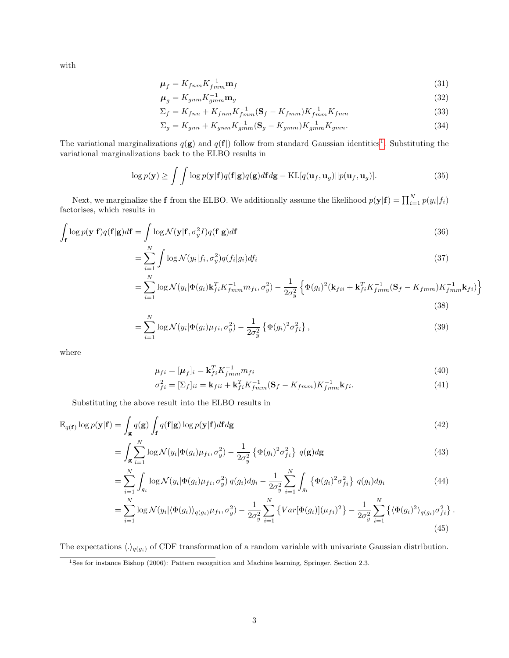with

$$
\mu_f = K_{fnm} K_{fmm}^{-1} \mathbf{m}_f \tag{31}
$$

$$
\mu_g = K_{gnm} K_{gmm}^{-1} \mathbf{m}_g \tag{32}
$$

$$
\Sigma_f = K_{fnn} + K_{fnm} K_{fmm}^{-1} (\mathbf{S}_f - K_{fmm}) K_{fmm}^{-1} K_{fmn}
$$
\n(33)

$$
\Sigma_g = K_{gnn} + K_{gnm} K_{gmm}^{-1} (\mathbf{S}_g - K_{gmm}) K_{gmm}^{-1} K_{gmn}.
$$
\n(34)

The variational marginalizations  $q(\mathbf{g})$  and  $q(\mathbf{f})$  follow from standard Gaussian identities<sup>[1](#page-2-0)</sup>. Substituting the variational marginalizations back to the ELBO results in

$$
\log p(\mathbf{y}) \ge \int \int \log p(\mathbf{y}|\mathbf{f}) q(\mathbf{f}|\mathbf{g}) q(\mathbf{g}) d\mathbf{f} d\mathbf{g} - \mathrm{KL}[q(\mathbf{u}_f, \mathbf{u}_g) || p(\mathbf{u}_f, \mathbf{u}_g)]. \tag{35}
$$

Next, we marginalize the **f** from the ELBO. We additionally assume the likelihood  $p(\mathbf{y}|\mathbf{f}) = \prod_{i=1}^{N} p(y_i|f_i)$ factorises, which results in

$$
\int_{\mathbf{f}} \log p(\mathbf{y}|\mathbf{f}) q(\mathbf{f}|\mathbf{g}) d\mathbf{f} = \int_{N} \log \mathcal{N}(\mathbf{y}|\mathbf{f}, \sigma_{y}^{2} I) q(\mathbf{f}|\mathbf{g}) d\mathbf{f}
$$
\n(36)

$$
=\sum_{i=1}^{N} \int \log \mathcal{N}(y_i|f_i, \sigma_y^2) q(f_i|g_i) df_i
$$
\n(37)

$$
= \sum_{i=1}^{N} \log \mathcal{N}(y_i | \Phi(g_i) \mathbf{k}_{fi}^T K_{fmm}^{-1} m_{fi}, \sigma_y^2) - \frac{1}{2\sigma_y^2} \left\{ \Phi(g_i)^2 (\mathbf{k}_{fi} + \mathbf{k}_{fi}^T K_{fmm}^{-1} (\mathbf{S}_f - K_{fmm}) K_{fmm}^{-1} \mathbf{k}_{fi}) \right\}
$$
(38)

$$
= \sum_{i=1}^{N} \log \mathcal{N}(y_i | \Phi(g_i) \mu_{fi}, \sigma_y^2) - \frac{1}{2\sigma_y^2} \left\{ \Phi(g_i)^2 \sigma_{fi}^2 \right\},\tag{39}
$$

where

$$
\mu_{fi} = [\mu_f]_i = \mathbf{k}_{fi}^T K_{fmm}^{-1} m_{fi} \tag{40}
$$

$$
\sigma_{fi}^2 = [\Sigma_f]_{ii} = \mathbf{k}_{fii} + \mathbf{k}_{fi}^T K_{fmm}^{-1} (\mathbf{S}_f - K_{fmm}) K_{fmm}^{-1} \mathbf{k}_{fi}.
$$
\n(41)

Substituting the above result into the ELBO results in

$$
\mathbb{E}_{q(\mathbf{f})} \log p(\mathbf{y}|\mathbf{f}) = \int_{\mathbf{g}} q(\mathbf{g}) \int_{\mathbf{f}} q(\mathbf{f}|\mathbf{g}) \log p(\mathbf{y}|\mathbf{f}) d\mathbf{f} d\mathbf{g}
$$
(42)

$$
= \int_{\mathbf{g}} \sum_{i=1}^{N} \log \mathcal{N}(y_i | \Phi(g_i) \mu_{fi}, \sigma_y^2) - \frac{1}{2\sigma_y^2} \left\{ \Phi(g_i)^2 \sigma_{fi}^2 \right\} q(\mathbf{g}) d\mathbf{g}
$$
(43)

$$
= \sum_{i=1}^{N} \int_{g_i} \log \mathcal{N}(y_i | \Phi(g_i) \mu_{fi}, \sigma_y^2) \, q(g_i) dg_i - \frac{1}{2\sigma_y^2} \sum_{i=1}^{N} \int_{g_i} {\{\Phi(g_i)^2 \sigma_{fi}^2\} \, q(g_i) dg_i}
$$
(44)

$$
= \sum_{i=1}^{N} \log \mathcal{N}(y_i | \langle \Phi(g_i) \rangle_{q(g_i)} \mu_{fi}, \sigma_y^2) - \frac{1}{2\sigma_y^2} \sum_{i=1}^{N} \left\{ Var[\Phi(g_i)](\mu_{fi})^2 \right\} - \frac{1}{2\sigma_y^2} \sum_{i=1}^{N} \left\{ \langle \Phi(g_i)^2 \rangle_{q(g_i)} \sigma_{fi}^2 \right\}.
$$
\n(45)

The expectations  $\langle .\rangle_{q(g_i)}$  of CDF transformation of a random variable with univariate Gaussian distribution.

<span id="page-2-0"></span><sup>&</sup>lt;sup>1</sup>See for instance Bishop (2006): Pattern recognition and Machine learning, Springer, Section 2.3.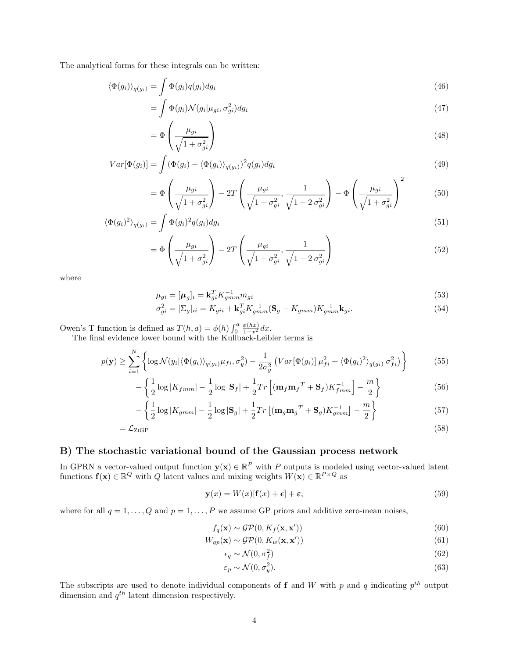The analytical forms for these integrals can be written:

$$
\langle \Phi(g_i) \rangle_{q(g_i)} = \int \Phi(g_i) q(g_i) dg_i \tag{46}
$$

$$
= \int \Phi(g_i) \mathcal{N}(g_i | \mu_{gi}, \sigma_{gi}^2) dg_i \tag{47}
$$

$$
=\Phi\left(\frac{\mu_{gi}}{\sqrt{1+\sigma_{gi}^2}}\right) \tag{48}
$$

$$
Var[\Phi(g_i)] = \int (\Phi(g_i) - \langle \Phi(g_i) \rangle_{q(g_i)})^2 q(g_i) dg_i
$$
\n(49)

$$
= \Phi\left(\frac{\mu_{gi}}{\sqrt{1+\sigma_{gi}^2}}\right) - 2T\left(\frac{\mu_{gi}}{\sqrt{1+\sigma_{gi}^2}}, \frac{1}{\sqrt{1+2\sigma_{gi}^2}}\right) - \Phi\left(\frac{\mu_{gi}}{\sqrt{1+\sigma_{gi}^2}}\right)^2 \tag{50}
$$

$$
\langle \Phi(g_i)^2 \rangle_{q(g_i)} = \int \Phi(g_i)^2 q(g_i) dg_i \tag{51}
$$

$$
= \Phi\left(\frac{\mu_{gi}}{\sqrt{1+\sigma_{gi}^2}}\right) - 2T\left(\frac{\mu_{gi}}{\sqrt{1+\sigma_{gi}^2}}, \frac{1}{\sqrt{1+2\,\sigma_{gi}^2}}\right) \tag{52}
$$

where

$$
\mu_{gi} = [\mu_g]_i = \mathbf{k}_{gi}^T K_{gmm}^{-1} m_{gi} \tag{53}
$$

$$
\sigma_{gi}^2 = [\Sigma_g]_{ii} = K_{gii} + \mathbf{k}_{gi}^T K_{gmm}^{-1} (\mathbf{S}_g - K_{gmm}) K_{gmm}^{-1} \mathbf{k}_{gi}.
$$
\n(54)

Owen's T function is defined as  $T(h, a) = \phi(h) \int_0^a$  $\frac{\phi(hx)}{1+x^2}dx$ .

The final evidence lower bound with the Kullback-Leibler terms is

$$
p(\mathbf{y}) \ge \sum_{i=1}^{N} \left\{ \log \mathcal{N}(y_i | \langle \Phi(g_i) \rangle_{q(g_i)} \mu_{fi}, \sigma_y^2) - \frac{1}{2\sigma_y^2} \left( Var[\Phi(g_i)] \mu_{fi}^2 + \langle \Phi(g_i)^2 \rangle_{q(g_i)} \sigma_{fi}^2 \right) \right\}
$$
(55)

$$
-\left\{\frac{1}{2}\log|K_{fmm}| - \frac{1}{2}\log|\mathbf{S}_f| + \frac{1}{2}Tr\left[(\mathbf{m}_f\mathbf{m}_f{}^T + \mathbf{S}_f)K_{fmm}^{-1}\right] - \frac{m}{2}\right\}
$$
(56)

$$
-\left\{\frac{1}{2}\log|K_{gmm}|-\frac{1}{2}\log|\mathbf{S}_g|+\frac{1}{2}Tr\left[(\mathbf{m}_g\mathbf{m}_g^T+\mathbf{S}_g)K_{gmm}^{-1}\right]-\frac{m}{2}\right\}\tag{57}
$$

$$
=\mathcal{L}_{\text{ZIGP}}\tag{58}
$$

### B) The stochastic variational bound of the Gaussian process network

In GPRN a vector-valued output function  $y(x) \in \mathbb{R}^P$  with P outputs is modeled using vector-valued latent functions  $f(x) \in \mathbb{R}^Q$  with Q latent values and mixing weights  $W(x) \in \mathbb{R}^{P \times Q}$  as

$$
\mathbf{y}(x) = W(x)[\mathbf{f}(x) + \boldsymbol{\epsilon}] + \boldsymbol{\epsilon},\tag{59}
$$

where for all  $q = 1, ..., Q$  and  $p = 1, ..., P$  we assume GP priors and additive zero-mean noises,

$$
f_q(\mathbf{x}) \sim \mathcal{GP}(0, K_f(\mathbf{x}, \mathbf{x}')) \tag{60}
$$

$$
W_{qp}(\mathbf{x}) \sim \mathcal{GP}(0, K_w(\mathbf{x}, \mathbf{x}')) \tag{61}
$$

$$
\epsilon_q \sim \mathcal{N}(0, \sigma_f^2) \tag{62}
$$

$$
\varepsilon_p \sim \mathcal{N}(0, \sigma_y^2). \tag{63}
$$

The subscripts are used to denote individual components of **f** and W with p and q indicating  $p^{th}$  output dimension and  $q^{th}$  latent dimension respectively.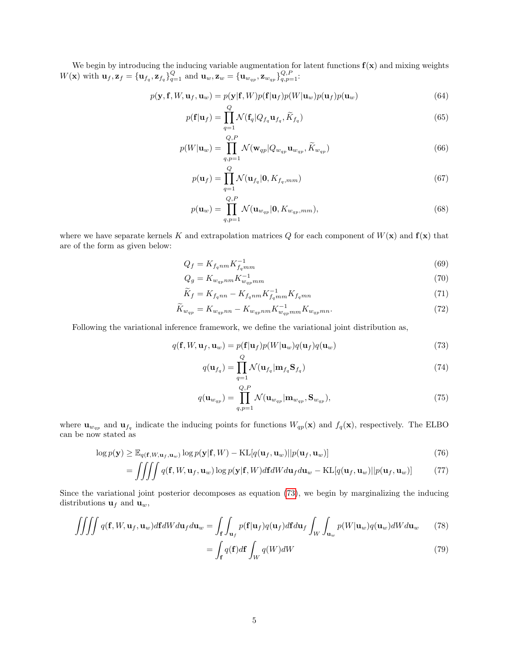We begin by introducing the inducing variable augmentation for latent functions  $f(x)$  and mixing weights  $W(\mathbf{x})$  with  $\mathbf{u}_f$ ,  $\mathbf{z}_f = {\mathbf{u}_{f_q}, \mathbf{z}_{f_q}}_{q=1}^Q$  and  $\mathbf{u}_w$ ,  $\mathbf{z}_w = {\mathbf{u}_{w_{qp}}, \mathbf{z}_{w_{qp}}}_{\mathbf{z}_{p,q}}_{q,p=1}^Q$ :

$$
p(\mathbf{y}, \mathbf{f}, W, \mathbf{u}_f, \mathbf{u}_w) = p(\mathbf{y} | \mathbf{f}, W) p(\mathbf{f} | \mathbf{u}_f) p(W | \mathbf{u}_w) p(\mathbf{u}_f) p(\mathbf{u}_w)
$$
(64)

$$
p(\mathbf{f}|\mathbf{u}_f) = \prod_{q=1}^{\infty} \mathcal{N}(\mathbf{f}_q | Q_{f_q} \mathbf{u}_{f_q}, \widetilde{K}_{f_q})
$$
\n(65)

$$
p(W|\mathbf{u}_w) = \prod_{q,p=1}^{Q,P} \mathcal{N}(\mathbf{w}_{qp}|Q_{w_{qp}}\mathbf{u}_{w_{qp}}, \widetilde{K}_{w_{qp}})
$$
(66)

$$
p(\mathbf{u}_f) = \prod_{q=1}^{Q} \mathcal{N}(\mathbf{u}_{f_q}|\mathbf{0}, K_{f_q,mm})
$$
\n(67)

$$
p(\mathbf{u}_w) = \prod_{q,p=1}^{Q,P} \mathcal{N}(\mathbf{u}_{w_{qp}}|\mathbf{0}, K_{w_{qp},mm}),
$$
\n(68)

where we have separate kernels K and extrapolation matrices  $Q$  for each component of  $W(\mathbf{x})$  and  $\mathbf{f}(\mathbf{x})$  that are of the form as given below:

$$
Q_f = K_{f_qnm} K_{f_qmm}^{-1} \tag{69}
$$

$$
Q_g = K_{w_{qp}nm} K_{w_{qp}mm}^{-1} \tag{70}
$$

$$
\widetilde{K}_f = K_{f_qnn} - K_{f_qnm}K_{f_qmn}^{-1}K_{f_qmn} \tag{71}
$$

$$
\widetilde{K}_{w_{qp}} = K_{w_{qp}nn} - K_{w_{qp}nm} K_{w_{qp}mn}^{-1} K_{w_{qp}mn}.
$$
\n(72)

Following the variational inference framework, we define the variational joint distribution as,

$$
q(\mathbf{f}, W, \mathbf{u}_f, \mathbf{u}_w) = p(\mathbf{f}|\mathbf{u}_f)p(W|\mathbf{u}_w)q(\mathbf{u}_f)q(\mathbf{u}_w)
$$
\n(73)

<span id="page-4-0"></span>
$$
q(\mathbf{u}_{f_q}) = \prod_{q=1}^{\infty} \mathcal{N}(\mathbf{u}_{f_q} | \mathbf{m}_{f_q} \mathbf{S}_{f_q})
$$
\n(74)

$$
q(\mathbf{u}_{w_{qp}}) = \prod_{q,p=1}^{Q,P} \mathcal{N}(\mathbf{u}_{w_{qp}} | \mathbf{m}_{w_{qp}}, \mathbf{S}_{w_{qp}}),
$$
\n(75)

where  $\mathbf{u}_{w_{qp}}$  and  $\mathbf{u}_{f_q}$  indicate the inducing points for functions  $W_{qp}(\mathbf{x})$  and  $f_q(\mathbf{x})$ , respectively. The ELBO can be now stated as

$$
\log p(\mathbf{y}) \ge \mathbb{E}_{q(\mathbf{f}, W, \mathbf{u}_f, \mathbf{u}_w)} \log p(\mathbf{y}|\mathbf{f}, W) - \text{KL}[q(\mathbf{u}_f, \mathbf{u}_w)||p(\mathbf{u}_f, \mathbf{u}_w)] \tag{76}
$$

$$
= \iiint q(\mathbf{f}, W, \mathbf{u}_f, \mathbf{u}_w) \log p(\mathbf{y}|\mathbf{f}, W) d\mathbf{f} dW d\mathbf{u}_f d\mathbf{u}_w - \text{KL}[q(\mathbf{u}_f, \mathbf{u}_w)||p(\mathbf{u}_f, \mathbf{u}_w)] \tag{77}
$$

Since the variational joint posterior decomposes as equation [\(73\)](#page-4-0), we begin by marginalizing the inducing distributions  $\mathbf{u}_f$  and  $\mathbf{u}_w$ ,

$$
\iiint q(\mathbf{f}, W, \mathbf{u}_f, \mathbf{u}_w) d\mathbf{f} dW d\mathbf{u}_f d\mathbf{u}_w = \int_{\mathbf{f}} \int_{\mathbf{u}_f} p(\mathbf{f}|\mathbf{u}_f) q(\mathbf{u}_f) d\mathbf{f} d\mathbf{u}_f \int_W \int_{\mathbf{u}_w} p(W|\mathbf{u}_w) q(\mathbf{u}_w) dW d\mathbf{u}_w \qquad (78)
$$

$$
=\int_{\mathbf{f}}q(\mathbf{f})d\mathbf{f}\int_{W}q(W)dW\tag{79}
$$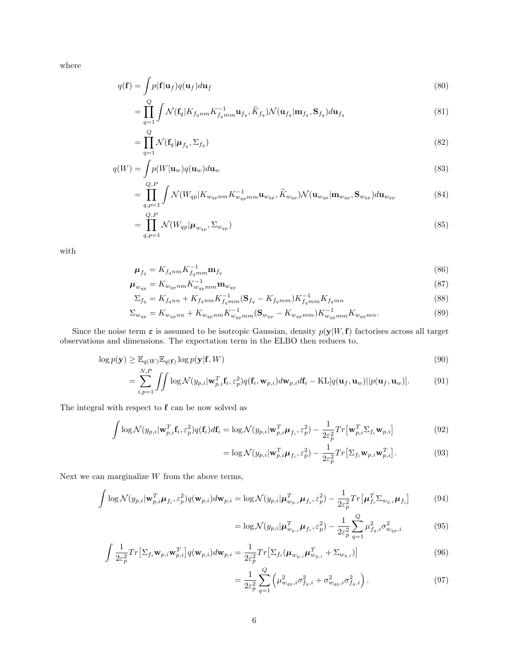where

$$
q(\mathbf{f}) = \int p(\mathbf{f}|\mathbf{u}_f)q(\mathbf{u}_f)d\mathbf{u}_f
$$
\n(80)

$$
=\prod_{q=1}^{Q} \int \mathcal{N}(\mathbf{f}_{q} | K_{f_qnm} K_{f_qmm}^{-1} \mathbf{u}_{f_q}, \widetilde{K}_{f_q}) \mathcal{N}(\mathbf{u}_{f_q} | \mathbf{m}_{f_q}, \mathbf{S}_{f_q}) d\mathbf{u}_{f_q}
$$
(81)

$$
=\prod_{q=1}^{Q} \mathcal{N}(\mathbf{f}_q|\boldsymbol{\mu}_{f_q}, \Sigma_{f_q})
$$
\n(82)

$$
q(W) = \int p(W|\mathbf{u}_w)q(\mathbf{u}_w)d\mathbf{u}_w
$$
\n(83)

$$
= \prod_{q,p=1}^{Q,P} \int \mathcal{N}(W_{qp}|K_{w_{qp}nm}K_{w_{qp}mm}^{-1}\mathbf{u}_{w_{qp}},\widetilde{K}_{w_{qp}}) \mathcal{N}(\mathbf{u}_{w_{qp}}|\mathbf{m}_{w_{qp}},\mathbf{S}_{w_{qp}})d\mathbf{u}_{w_{qp}} \qquad (84)
$$

$$
=\prod_{q,p=1}^{Q,P} \mathcal{N}(W_{qp}|\boldsymbol{\mu}_{w_{qp}}, \Sigma_{w_{qp}})
$$
\n(85)

with

$$
\mu_{f_q} = K_{f_qnm} K_{f_qmm}^{-1} \mathbf{m}_{f_q} \tag{86}
$$

$$
\mu_{w_{qp}} = K_{w_{qp}nm} K_{w_{qp}nm}^{-1} \mathbf{m}_{w_{qp}}
$$
\n
$$
\tag{87}
$$

$$
\Sigma_{f_q} = K_{f_qnn} + K_{f_qnm} K_{f_qmm}^{-1} (\mathbf{S}_{f_q} - K_{f_qmm}) K_{f_qmm}^{-1} K_{f_qmn} \tag{88}
$$

$$
\Sigma_{w_{qp}} = K_{w_{qp}nn} + K_{w_{qp}nm} K_{w_{qp}mn}^{-1} (\mathbf{S}_{w_{qp}} - K_{w_{qp}mm}) K_{w_{qp}mn}^{-1} K_{w_{qp}mn}.
$$
\n(89)

Since the noise term  $\varepsilon$  is assumed to be isotropic Gaussian, density  $p(y|W, f)$  factorises across all target observations and dimensions. The expectation term in the ELBO then reduces to,

$$
\log p(\mathbf{y}) \ge \mathbb{E}_{q(W)} \mathbb{E}_{q(\mathbf{f})} \log p(\mathbf{y}|\mathbf{f}, W) \tag{90}
$$

$$
= \sum_{i,p=1}^{N,P} \iint \log \mathcal{N}(y_{p,i}|\mathbf{w}_{p,i}^T \mathbf{f}_i, \varepsilon_p^2) q(\mathbf{f}_i, \mathbf{w}_{p,i}) d\mathbf{w}_{p,i} d\mathbf{f}_i - \mathrm{KL}[q(\mathbf{u}_f, \mathbf{u}_w)||p(\mathbf{u}_f, \mathbf{u}_w)]. \tag{91}
$$

The integral with respect to  ${\bf f}$  can be now solved as

$$
\int \log \mathcal{N}(y_{p,i}|\mathbf{w}_{p,i}^T \mathbf{f}_i, \varepsilon_p^2) q(\mathbf{f}_i) d\mathbf{f}_i = \log \mathcal{N}(y_{p,i}|\mathbf{w}_{p,i}^T \boldsymbol{\mu}_{f_i}, \varepsilon_p^2) - \frac{1}{2\varepsilon_p^2} Tr[\mathbf{w}_{p,i}^T \Sigma_{f_i} \mathbf{w}_{p,i}]
$$
\n(92)

$$
= \log \mathcal{N}(y_{p,i}|\mathbf{w}_{p,i}^T \boldsymbol{\mu}_{f_i}, \varepsilon_p^2) - \frac{1}{2\varepsilon_p^2} Tr[\Sigma_{f_i} \mathbf{w}_{p,i} \mathbf{w}_{p,i}^T].
$$
\n(93)

Next we can marginalize  $W$  from the above terms,

$$
\int \log \mathcal{N}(y_{p,i}|\mathbf{w}_{p,i}^T \boldsymbol{\mu}_{f_i}, \varepsilon_p^2) q(\mathbf{w}_{p,i}) d\mathbf{w}_{p,i} = \log \mathcal{N}(y_{p,i}|\boldsymbol{\mu}_{w_{p,i}}^T \boldsymbol{\mu}_{f_i}, \varepsilon_p^2) - \frac{1}{2\varepsilon_p^2} Tr[\boldsymbol{\mu}_{f_i}^T \Sigma_{w_{q,i}} \boldsymbol{\mu}_{f_i}]
$$
(94)

$$
= \log \mathcal{N}(y_{p,i} | \boldsymbol{\mu}_{w_{p,i}}^T \boldsymbol{\mu}_{f_i}, \varepsilon_p^2) - \frac{1}{2\varepsilon_p^2} \sum_{q=1}^Q \mu_{f_q,i}^2 \sigma_{w_{qp},i}^2 \tag{95}
$$

$$
\int \frac{1}{2\varepsilon_p^2} Tr[\Sigma_{f_i} \mathbf{w}_{p,i} \mathbf{w}_{p,i}^T] q(\mathbf{w}_{p,i}) d\mathbf{w}_{p,i} = \frac{1}{2\varepsilon_p^2} Tr[\Sigma_{f_i} (\boldsymbol{\mu}_{w_{p,i}} \boldsymbol{\mu}_{w_{p,i}}^T + \Sigma_{w_{q,i}})]
$$
\n(96)

$$
= \frac{1}{2\varepsilon_p^2} \sum_{q=1}^Q \left( \mu_{w_{qp},i}^2 \sigma_{f_q,i}^2 + \sigma_{w_{qp},i}^2 \sigma_{f_q,i}^2 \right). \tag{97}
$$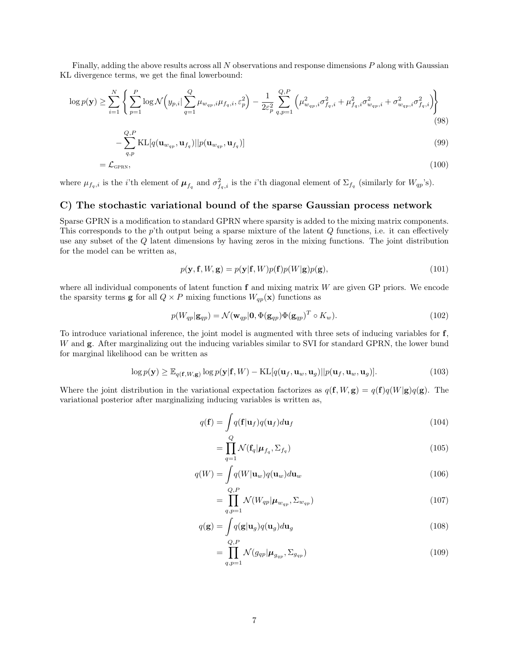Finally, adding the above results across all N observations and response dimensions P along with Gaussian KL divergence terms, we get the final lowerbound:

$$
\log p(\mathbf{y}) \ge \sum_{i=1}^{N} \left\{ \sum_{p=1}^{P} \log \mathcal{N}\left(y_{p,i} | \sum_{q=1}^{Q} \mu_{w_{qp},i} \mu_{f_q,i}, \varepsilon_p^2\right) - \frac{1}{2\varepsilon_p^2} \sum_{q,p=1}^{Q,P} \left(\mu_{w_{qp},i}^2 \sigma_{f_q,i}^2 + \mu_{f_q,i}^2 \sigma_{w_{qp},i}^2 + \sigma_{w_{qp},i}^2 \sigma_{f_q,i}^2\right) \right\}
$$
\n(98)

$$
-\sum_{q,p}^{\mathcal{Q},\mathcal{F}} \mathrm{KL}[q(\mathbf{u}_{w_{qp}}, \mathbf{u}_{f_q})||p(\mathbf{u}_{w_{qp}}, \mathbf{u}_{f_q})]
$$
(99)

$$
=\mathcal{L}_{\text{GPRN}},\tag{100}
$$

where  $\mu_{f_q,i}$  is the *i*'th element of  $\mu_{f_q}$  and  $\sigma_{f_q,i}^2$  is the *i*'th diagonal element of  $\Sigma_{f_q}$  (similarly for  $W_{qp}$ 's).

#### C) The stochastic variational bound of the sparse Gaussian process network

Sparse GPRN is a modification to standard GPRN where sparsity is added to the mixing matrix components. This corresponds to the  $p$ 'th output being a sparse mixture of the latent  $Q$  functions, i.e. it can effectively use any subset of the Q latent dimensions by having zeros in the mixing functions. The joint distribution for the model can be written as,

$$
p(\mathbf{y}, \mathbf{f}, W, \mathbf{g}) = p(\mathbf{y}|\mathbf{f}, W)p(\mathbf{f})p(W|\mathbf{g})p(\mathbf{g}),
$$
\n(101)

where all individual components of latent function  $f$  and mixing matrix  $W$  are given GP priors. We encode the sparsity terms **g** for all  $Q \times P$  mixing functions  $W_{qp}(\mathbf{x})$  functions as

$$
p(W_{qp}|\mathbf{g}_{qp}) = \mathcal{N}(\mathbf{w}_{qp}|\mathbf{0}, \Phi(\mathbf{g}_{qp})\Phi(\mathbf{g}_{qp})^T \circ K_w).
$$
 (102)

To introduce variational inference, the joint model is augmented with three sets of inducing variables for f, W and **g**. After marginalizing out the inducing variables similar to SVI for standard GPRN, the lower bund for marginal likelihood can be written as

$$
\log p(\mathbf{y}) \ge \mathbb{E}_{q(\mathbf{f}, W, \mathbf{g})} \log p(\mathbf{y} | \mathbf{f}, W) - \text{KL}[q(\mathbf{u}_f, \mathbf{u}_w, \mathbf{u}_g) || p(\mathbf{u}_f, \mathbf{u}_w, \mathbf{u}_g)].
$$
\n(103)

Where the joint distribution in the variational expectation factorizes as  $q(\mathbf{f}, W, \mathbf{g}) = q(\mathbf{f})q(W|\mathbf{g})q(\mathbf{g})$ . The variational posterior after marginalizing inducing variables is written as,

$$
q(\mathbf{f}) = \int q(\mathbf{f}|\mathbf{u}_f)q(\mathbf{u}_f)d\mathbf{u}_f
$$
\n(104)

$$
=\prod_{q=1}^{Q} \mathcal{N}(\mathbf{f}_q | \boldsymbol{\mu}_{f_q}, \boldsymbol{\Sigma}_{f_q})
$$
\n(105)

$$
q(W) = \int q(W|\mathbf{u}_w)q(\mathbf{u}_w)d\mathbf{u}_w
$$
\n(106)

$$
=\prod_{q,p=1}^{Q,F} \mathcal{N}(W_{qp}|\boldsymbol{\mu}_{w_{qp}}, \Sigma_{w_{qp}})
$$
\n(107)

$$
q(\mathbf{g}) = \int q(\mathbf{g}|\mathbf{u}_g)q(\mathbf{u}_g)d\mathbf{u}_g
$$
\n(108)

$$
= \prod_{q,p=1}^{Q,P} \mathcal{N}(g_{qp}|\mu_{g_{qp}}, \Sigma_{g_{qp}}) \tag{109}
$$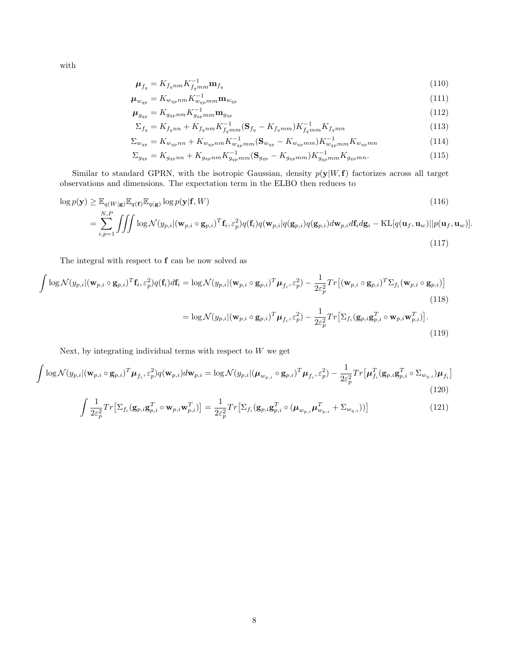with

$$
\mu_{f_q} = K_{f_qnm} K_{f_qmm}^{-1} \mathbf{m}_{f_q} \tag{110}
$$

$$
\mu_{w_{qp}} = K_{w_{qp}nm} K_{w_{qp}nm}^{-1} \mathbf{m}_{w_{qp}}
$$
\n
$$
\tag{111}
$$

$$
\mu_{g_{qp}} = K_{g_{qp}nm} K_{g_{qp}nm}^{-1} \mathbf{m}_{g_{qp}} \tag{112}
$$

$$
\Sigma_{f_q} = K_{f_qnn} + K_{f_qnm} K_{f_qmm}^{-1} (\mathbf{S}_{f_q} - K_{f_qmm}) K_{f_qmm}^{-1} K_{f_qmn} \tag{113}
$$

$$
\Sigma_{w_{qp}} = K_{w_{qp}nn} + K_{w_{qp}nm} K_{w_{qp}mn}^{-1} (\mathbf{S}_{w_{qp}} - K_{w_{qp}mm}) K_{w_{qp}mn}^{-1} K_{w_{qp}mn}
$$
(114)

$$
\Sigma_{g_{qp}} = K_{g_{qp}nn} + K_{g_{qp}nm} K_{g_{qp}nm}^{-1} (\mathbf{S}_{g_{qp}} - K_{g_{qp}mm}) K_{g_{qp}nm}^{-1} K_{g_{qp}mn}.
$$
\n(115)

Similar to standard GPRN, with the isotropic Gaussian, density  $p(\mathbf{y}|W,\mathbf{f})$  factorizes across all target observations and dimensions. The expectation term in the ELBO then reduces to

$$
\log p(\mathbf{y}) \geq \mathbb{E}_{q(W|\mathbf{g})} \mathbb{E}_{q(\mathbf{f})} \mathbb{E}_{q(\mathbf{g})} \log p(\mathbf{y}|\mathbf{f}, W)
$$
\n
$$
= \sum_{i,p=1}^{N,P} \iiint \log \mathcal{N}(y_{p,i}|(\mathbf{w}_{p,i} \circ \mathbf{g}_{p,i})^T \mathbf{f}_i, \varepsilon_p^2) q(\mathbf{f}_i) q(\mathbf{w}_{p,i}|q(\mathbf{g}_{p,i}) d\mathbf{g}_{p,i}) d\mathbf{w}_{p,i} d\mathbf{f}_i d\mathbf{g}_i - \text{KL}[q(\mathbf{u}_f, \mathbf{u}_w)||p(\mathbf{u}_f, \mathbf{u}_w)].
$$
\n(117)

The integral with respect to f can be now solved as

$$
\int \log \mathcal{N}(y_{p,i}|(\mathbf{w}_{p,i} \circ \mathbf{g}_{p,i})^T \mathbf{f}_i, \varepsilon_p^2) q(\mathbf{f}_i) d\mathbf{f}_i = \log \mathcal{N}(y_{p,i}|(\mathbf{w}_{p,i} \circ \mathbf{g}_{p,i})^T \boldsymbol{\mu}_{f_i}, \varepsilon_p^2) - \frac{1}{2\varepsilon_p^2} Tr[(\mathbf{w}_{p,i} \circ \mathbf{g}_{p,i})^T \Sigma_{f_i} (\mathbf{w}_{p,i} \circ \mathbf{g}_{p,i})]
$$
\n(118)  
\n
$$
= \log \mathcal{N}(y_{p,i}|(\mathbf{w}_{p,i} \circ \mathbf{g}_{p,i})^T \boldsymbol{\mu}_{f_i}, \varepsilon_p^2) - \frac{1}{2\varepsilon_p^2} Tr[\Sigma_{f_i} (\mathbf{g}_{p,i} \mathbf{g}_{p,i}^T \circ \mathbf{w}_{p,i} \mathbf{w}_{p,i}^T)].
$$
\n(119)

Next, by integrating individual terms with respect to  $W$  we get

$$
\int \log \mathcal{N}(y_{p,i}|(\mathbf{w}_{p,i} \circ \mathbf{g}_{p,i})^T \boldsymbol{\mu}_{f_i}, \varepsilon_p^2) q(\mathbf{w}_{p,i}) d\mathbf{w}_{p,i} = \log \mathcal{N}(y_{p,i}|(\boldsymbol{\mu}_{w_{p,i}} \circ \mathbf{g}_{p,i})^T \boldsymbol{\mu}_{f_i}, \varepsilon_p^2) - \frac{1}{2\varepsilon_p^2} Tr[\boldsymbol{\mu}_{f_i}^T(\mathbf{g}_{p,i} \mathbf{g}_{p,i}^T \circ \Sigma_{w_{q,i}}) \boldsymbol{\mu}_{f_i}]
$$
\n(120)

$$
\int \frac{1}{2\varepsilon_p^2} Tr[\Sigma_{f_i}(\mathbf{g}_{p,i}\mathbf{g}_{p,i}^T \circ \mathbf{w}_{p,i}\mathbf{w}_{p,i}^T)] = \frac{1}{2\varepsilon_p^2} Tr[\Sigma_{f_i}(\mathbf{g}_{p,i}\mathbf{g}_{p,i}^T \circ (\boldsymbol{\mu}_{w_{p,i}}\boldsymbol{\mu}_{w_{p,i}}^T + \Sigma_{w_{q,i}}))]
$$
(121)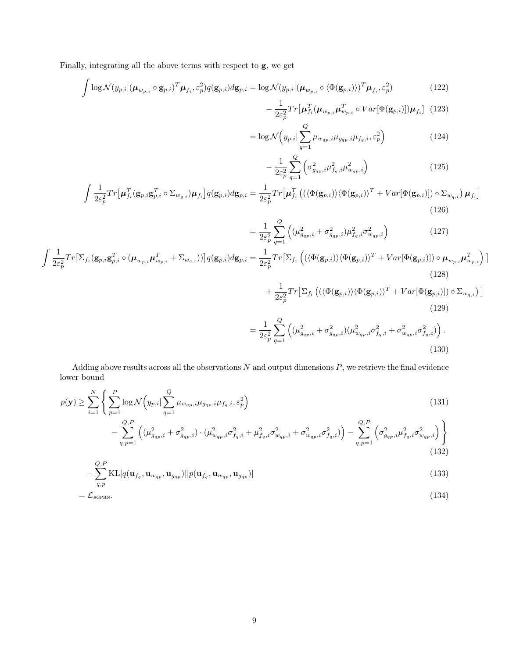Finally, integrating all the above terms with respect to g, we get

$$
\int \log \mathcal{N}(y_{p,i}|(\boldsymbol{\mu}_{w_{p,i}} \circ \mathbf{g}_{p,i})^T \boldsymbol{\mu}_{f_i}, \varepsilon_p^2) q(\mathbf{g}_{p,i}) d\mathbf{g}_{p,i} = \log \mathcal{N}(y_{p,i}|(\boldsymbol{\mu}_{w_{p,i}} \circ \langle \Phi(\mathbf{g}_{p,i}) \rangle)^T \boldsymbol{\mu}_{f_i}, \varepsilon_p^2)
$$
(122)

$$
-\frac{1}{2\varepsilon_p^2}Tr\left[\mu_{f_i}^T(\mu_{w_{p,i}}\mu_{w_{p,i}}^T \circ Var[\Phi(\mathbf{g}_{p,i})])\mu_{f_i}\right] \tag{123}
$$

$$
= \log \mathcal{N}\left(y_{p,i}|\sum_{q=1}^{Q} \mu_{w_{qp},i} \mu_{g_{qp},i} \mu_{f_q,i}, \varepsilon_p^2\right)
$$
(124)

$$
-\frac{1}{2\varepsilon_p^2} \sum_{q=1}^{Q} \left( \sigma_{g_{qp},i}^2 \mu_{f_q,i}^2 \mu_{w_{qp},i}^2 \right)
$$
 (125)

$$
\int \frac{1}{2\varepsilon_p^2} Tr\left[\mu_{f_i}^T (\mathbf{g}_{p,i}\mathbf{g}_{p,i}^T \circ \Sigma_{w_{q,i}}) \mu_{f_i}\right] q(\mathbf{g}_{p,i}) d\mathbf{g}_{p,i} = \frac{1}{2\varepsilon_p^2} Tr\left[\mu_{f_i}^T \left( (\langle \Phi(\mathbf{g}_{p,i}) \rangle \langle \Phi(\mathbf{g}_{p,i}) \rangle^T + Var[\Phi(\mathbf{g}_{p,i})] \right) \circ \Sigma_{w_{q,i}} \right) \mu_{f_i} \right]
$$
\n(126)

$$
= \frac{1}{2\varepsilon_p^2} \sum_{q=1}^Q \left( (\mu_{g_{qp},i}^2 + \sigma_{g_{qp},i}^2) \mu_{f_q,i}^2 \sigma_{w_{qp},i}^2 \right)
$$
(127)

$$
\int \frac{1}{2\varepsilon_p^2} Tr[\Sigma_{f_i}(\mathbf{g}_{p,i}\mathbf{g}_{p,i}^T \circ (\mu_{w_{p,i}}\mu_{w_{p,i}}^T + \Sigma_{w_{q,i}}))] q(\mathbf{g}_{p,i}) d\mathbf{g}_{p,i} = \frac{1}{2\varepsilon_p^2} Tr[\Sigma_{f_i} ((\langle \Phi(\mathbf{g}_{p,i}) \rangle \langle \Phi(\mathbf{g}_{p,i}) \rangle^T + Var[\Phi(\mathbf{g}_{p,i})]) \circ \mu_{w_{p,i}}\mu_{w_{p,i}}^T)]
$$
\n(128)

$$
+\frac{1}{2\varepsilon_p^2}Tr\big[\Sigma_{f_i}\left((\langle\Phi(\mathbf{g}_{p,i})\rangle\langle\Phi(\mathbf{g}_{p,i})\rangle^T + Var[\Phi(\mathbf{g}_{p,i})]\right)\circ\Sigma_{w_{q,i}}\right)]
$$
\n(129)

$$
= \frac{1}{2\varepsilon_p^2} \sum_{q=1}^Q \left( (\mu_{g_{qp},i}^2 + \sigma_{g_{qp},i}^2) (\mu_{w_{qp},i}^2 \sigma_{f_q,i}^2 + \sigma_{w_{qp},i}^2 \sigma_{f_q,i}^2) \right).
$$
\n(130)

Adding above results across all the observations  $N$  and output dimensions  $P$ , we retrieve the final evidence lower bound

$$
p(\mathbf{y}) \geq \sum_{i=1}^{N} \left\{ \sum_{p=1}^{P} \log \mathcal{N}\left(y_{p,i} | \sum_{q=1}^{Q} \mu_{w_{qp},i} \mu_{g_{qp},i} \mu_{f_q,i}, \varepsilon_p^2\right) - \sum_{q,p=1}^{Q,P} \left( (\mu_{g_{qp},i}^2 + \sigma_{g_{qp},i}^2) \cdot (\mu_{w_{qp},i}^2 \sigma_{f_q,i}^2 + \mu_{f_q,i}^2 \sigma_{w_{qp},i}^2 + \sigma_{w_{qp},i}^2 \sigma_{f_q,i}^2) \right) - \sum_{q,p=1}^{Q,P} \left( \sigma_{g_{qp},i}^2 \mu_{f_q,i}^2 \sigma_{w_{qp},i}^2 \right) \right\}
$$
\n(131)

$$
-\sum_{q,p}^{Q,P} \text{KL}[q(\mathbf{u}_{f_q}, \mathbf{u}_{w_{qp}}, \mathbf{u}_{g_{qp}})||p(\mathbf{u}_{f_q}, \mathbf{u}_{w_{qp}}, \mathbf{u}_{g_{qp}})]
$$
\n(133)

$$
=\mathcal{L}_{\text{scprn}}.\tag{134}
$$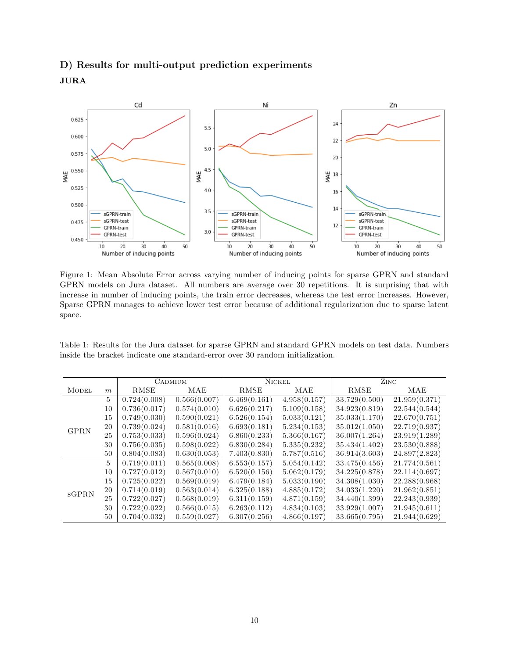### D) Results for multi-output prediction experiments JURA



Figure 1: Mean Absolute Error across varying number of inducing points for sparse GPRN and standard GPRN models on Jura dataset. All numbers are average over 30 repetitions. It is surprising that with increase in number of inducing points, the train error decreases, whereas the test error increases. However, Sparse GPRN manages to achieve lower test error because of additional regularization due to sparse latent space.

Table 1: Results for the Jura dataset for sparse GPRN and standard GPRN models on test data. Numbers inside the bracket indicate one standard-error over 30 random initialization.

|              |                | <b>CADMIUM</b> |              | <b>NICKEL</b> |              | ZINC          |               |
|--------------|----------------|----------------|--------------|---------------|--------------|---------------|---------------|
| <b>MODEL</b> | m              | RMSE           | MAE          | RMSE          | MAE          | <b>RMSE</b>   | MAE           |
|              | 5              | 0.724(0.008)   | 0.566(0.007) | 6.469(0.161)  | 4.958(0.157) | 33.729(0.500) | 21.959(0.371) |
| <b>GPRN</b>  | 10             | 0.736(0.017)   | 0.574(0.010) | 6.626(0.217)  | 5.109(0.158) | 34.923(0.819) | 22.544(0.544) |
|              | 15             | 0.749(0.030)   | 0.590(0.021) | 6.526(0.154)  | 5.033(0.121) | 35.033(1.170) | 22.670(0.751) |
|              | 20             | 0.739(0.024)   | 0.581(0.016) | 6.693(0.181)  | 5.234(0.153) | 35.012(1.050) | 22.719(0.937) |
|              | 25             | 0.753(0.033)   | 0.596(0.024) | 6.860(0.233)  | 5.366(0.167) | 36.007(1.264) | 23.919(1.289) |
|              | 30             | 0.756(0.035)   | 0.598(0.022) | 6.830(0.284)  | 5.335(0.232) | 35.434(1.402) | 23.530(0.888) |
|              | 50             | 0.804(0.083)   | 0.630(0.053) | 7.403(0.830)  | 5.787(0.516) | 36.914(3.603) | 24.897(2.823) |
| <b>SGPRN</b> | $\overline{5}$ | 0.719(0.011)   | 0.565(0.008) | 6.553(0.157)  | 5.054(0.142) | 33.475(0.456) | 21.774(0.561) |
|              | 10             | 0.727(0.012)   | 0.567(0.010) | 6.520(0.156)  | 5.062(0.179) | 34.225(0.878) | 22.114(0.697) |
|              | 15             | 0.725(0.022)   | 0.569(0.019) | 6.479(0.184)  | 5.033(0.190) | 34.308(1.030) | 22.288(0.968) |
|              | 20             | 0.714(0.019)   | 0.563(0.014) | 6.325(0.188)  | 4.885(0.172) | 34.033(1.220) | 21.962(0.851) |
|              | 25             | 0.722(0.027)   | 0.568(0.019) | 6.311(0.159)  | 4.871(0.159) | 34.440(1.399) | 22.243(0.939) |
|              | 30             | 0.722(0.022)   | 0.566(0.015) | 6.263(0.112)  | 4.834(0.103) | 33.929(1.007) | 21.945(0.611) |
|              | 50             | 0.704(0.032)   | 0.559(0.027) | 6.307(0.256)  | 4.866(0.197) | 33.665(0.795) | 21.944(0.629) |